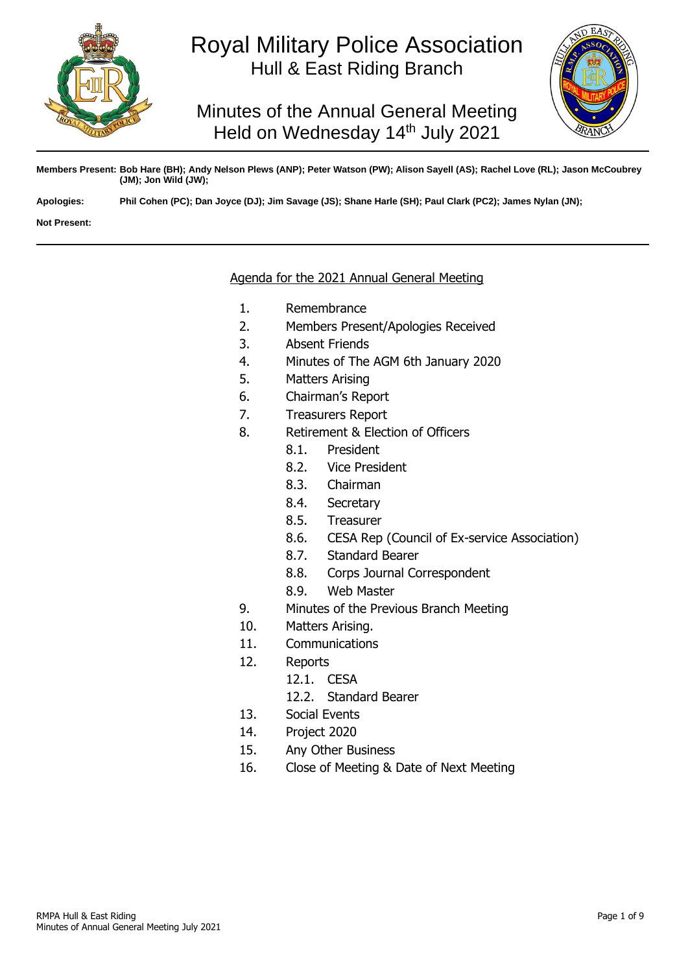

# Royal Military Police Association Hull & East Riding Branch

Minutes of the Annual General Meeting Held on Wednesday 14<sup>th</sup> July 2021



**Members Present: Bob Hare (BH); Andy Nelson Plews (ANP); Peter Watson (PW); Alison Sayell (AS); Rachel Love (RL); Jason McCoubrey (JM); Jon Wild (JW);** 

**Apologies: Phil Cohen (PC); Dan Joyce (DJ); Jim Savage (JS); Shane Harle (SH); Paul Clark (PC2); James Nylan (JN);**

**Not Present:**

## Agenda for the 2021 Annual General Meeting

- 1. Remembrance
- 2. Members Present/Apologies Received
- 3. Absent Friends
- 4. Minutes of The AGM 6th January 2020
- 5. Matters Arising
- 6. Chairman's Report
- 7. Treasurers Report
- 8. Retirement & Election of Officers
	- 8.1. President
	- 8.2. Vice President
	- 8.3. Chairman
	- 8.4. Secretary
	- 8.5. Treasurer
	- 8.6. CESA Rep (Council of Ex-service Association)
	- 8.7. Standard Bearer
	- 8.8. Corps Journal Correspondent
	- 8.9. Web Master
- 9. Minutes of the Previous Branch Meeting
- 10. Matters Arising.
- 11. Communications
- 12. Reports
	- 12.1. CESA
	- 12.2. Standard Bearer
- 13. Social Events
- 14. Project 2020
- 15. Any Other Business
- 16. Close of Meeting & Date of Next Meeting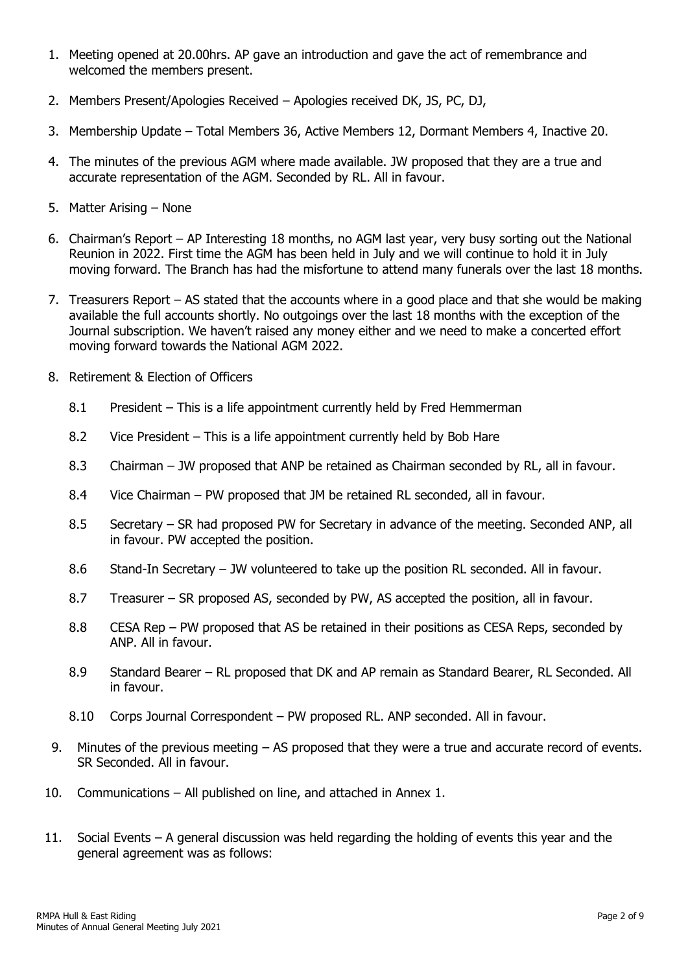- 1. Meeting opened at 20.00hrs. AP gave an introduction and gave the act of remembrance and welcomed the members present.
- 2. Members Present/Apologies Received Apologies received DK, JS, PC, DJ,
- 3. Membership Update Total Members 36, Active Members 12, Dormant Members 4, Inactive 20.
- 4. The minutes of the previous AGM where made available. JW proposed that they are a true and accurate representation of the AGM. Seconded by RL. All in favour.
- 5. Matter Arising None
- 6. Chairman's Report AP Interesting 18 months, no AGM last year, very busy sorting out the National Reunion in 2022. First time the AGM has been held in July and we will continue to hold it in July moving forward. The Branch has had the misfortune to attend many funerals over the last 18 months.
- 7. Treasurers Report AS stated that the accounts where in a good place and that she would be making available the full accounts shortly. No outgoings over the last 18 months with the exception of the Journal subscription. We haven't raised any money either and we need to make a concerted effort moving forward towards the National AGM 2022.
- 8. Retirement & Election of Officers
	- 8.1 President This is a life appointment currently held by Fred Hemmerman
	- 8.2 Vice President This is a life appointment currently held by Bob Hare
	- 8.3 Chairman JW proposed that ANP be retained as Chairman seconded by RL, all in favour.
	- 8.4 Vice Chairman PW proposed that JM be retained RL seconded, all in favour.
	- 8.5 Secretary SR had proposed PW for Secretary in advance of the meeting. Seconded ANP, all in favour. PW accepted the position.
	- 8.6 Stand-In Secretary JW volunteered to take up the position RL seconded. All in favour.
	- 8.7 Treasurer SR proposed AS, seconded by PW, AS accepted the position, all in favour.
	- 8.8 CESA Rep PW proposed that AS be retained in their positions as CESA Reps, seconded by ANP. All in favour.
	- 8.9 Standard Bearer RL proposed that DK and AP remain as Standard Bearer, RL Seconded. All in favour.
	- 8.10 Corps Journal Correspondent PW proposed RL. ANP seconded. All in favour.
- 9. Minutes of the previous meeting AS proposed that they were a true and accurate record of events. SR Seconded. All in favour.
- 10. Communications All published on line, and attached in Annex 1.
- 11. Social Events A general discussion was held regarding the holding of events this year and the general agreement was as follows: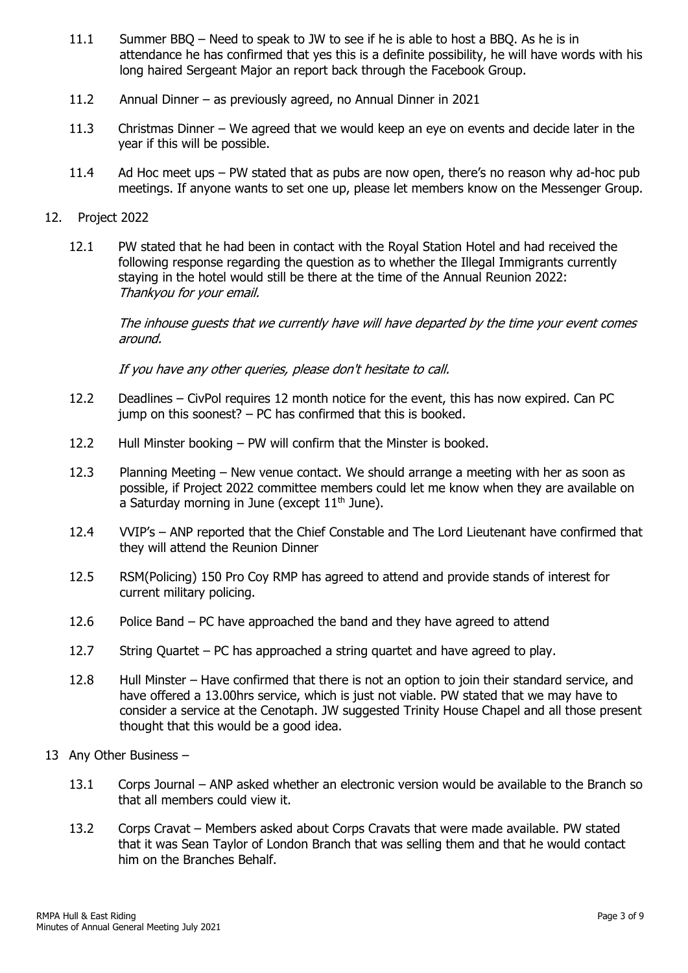- 11.1 Summer BBQ Need to speak to JW to see if he is able to host a BBQ. As he is in attendance he has confirmed that yes this is a definite possibility, he will have words with his long haired Sergeant Major an report back through the Facebook Group.
- 11.2 Annual Dinner as previously agreed, no Annual Dinner in 2021
- 11.3 Christmas Dinner We agreed that we would keep an eye on events and decide later in the year if this will be possible.
- 11.4 Ad Hoc meet ups PW stated that as pubs are now open, there's no reason why ad-hoc pub meetings. If anyone wants to set one up, please let members know on the Messenger Group.

#### 12. Project 2022

12.1 PW stated that he had been in contact with the Royal Station Hotel and had received the following response regarding the question as to whether the Illegal Immigrants currently staying in the hotel would still be there at the time of the Annual Reunion 2022: Thankyou for your email.

The inhouse guests that we currently have will have departed by the time your event comes around.

If you have any other queries, please don't hesitate to call.

- 12.2 Deadlines CivPol requires 12 month notice for the event, this has now expired. Can PC jump on this soonest? – PC has confirmed that this is booked.
- 12.2 Hull Minster booking PW will confirm that the Minster is booked.
- 12.3 Planning Meeting New venue contact. We should arrange a meeting with her as soon as possible, if Project 2022 committee members could let me know when they are available on a Saturday morning in June (except  $11<sup>th</sup>$  June).
- 12.4 VVIP's ANP reported that the Chief Constable and The Lord Lieutenant have confirmed that they will attend the Reunion Dinner
- 12.5 RSM(Policing) 150 Pro Coy RMP has agreed to attend and provide stands of interest for current military policing.
- 12.6 Police Band PC have approached the band and they have agreed to attend
- 12.7 String Quartet PC has approached a string quartet and have agreed to play.
- 12.8 Hull Minster Have confirmed that there is not an option to join their standard service, and have offered a 13.00hrs service, which is just not viable. PW stated that we may have to consider a service at the Cenotaph. JW suggested Trinity House Chapel and all those present thought that this would be a good idea.
- 13 Any Other Business
	- 13.1 Corps Journal ANP asked whether an electronic version would be available to the Branch so that all members could view it.
	- 13.2 Corps Cravat Members asked about Corps Cravats that were made available. PW stated that it was Sean Taylor of London Branch that was selling them and that he would contact him on the Branches Behalf.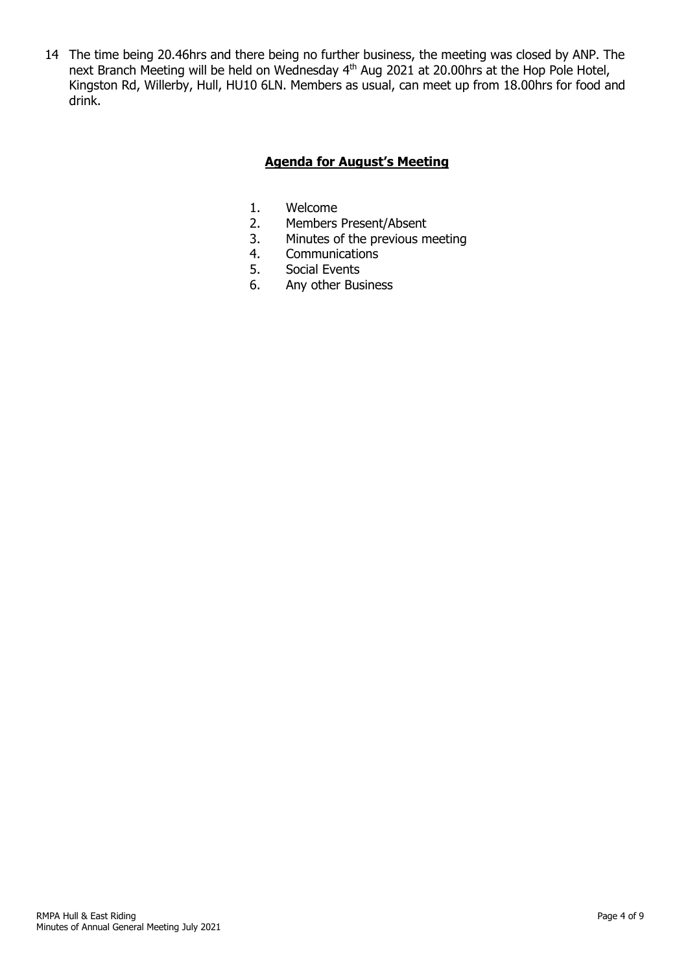14 The time being 20.46hrs and there being no further business, the meeting was closed by ANP. The next Branch Meeting will be held on Wednesday 4<sup>th</sup> Aug 2021 at 20.00hrs at the Hop Pole Hotel, Kingston Rd, Willerby, Hull, HU10 6LN. Members as usual, can meet up from 18.00hrs for food and drink.

# **Agenda for August's Meeting**

- 1. Welcome<br>2. Members
- 2. Members Present/Absent<br>3. Minutes of the previous m
- Minutes of the previous meeting
- 4. Communications<br>5. Social Events
- Social Events
- 6. Any other Business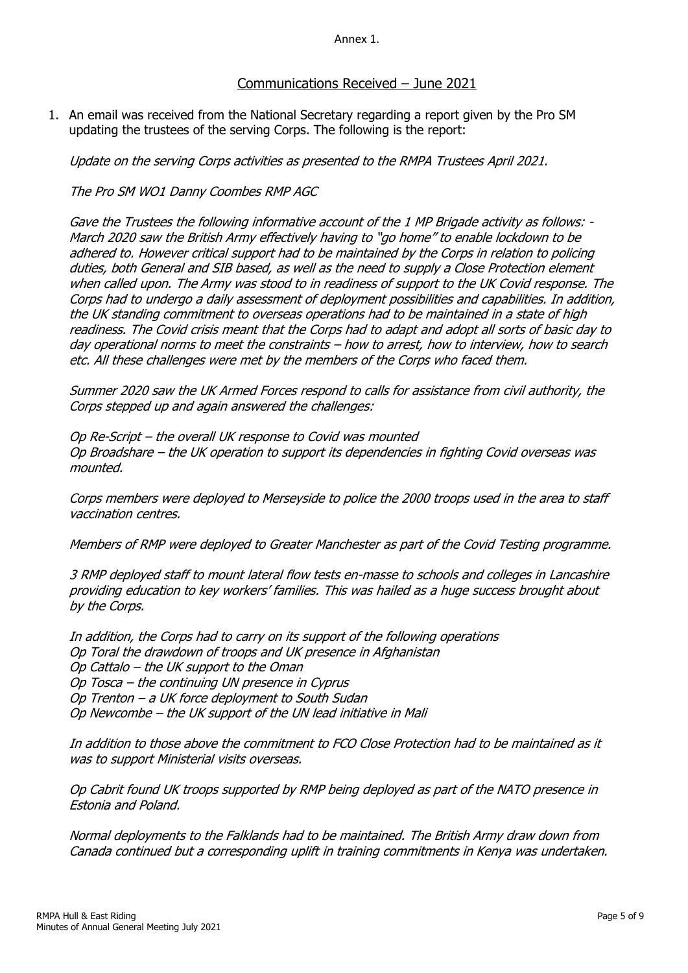Annex 1.

### Communications Received – June 2021

1. An email was received from the National Secretary regarding a report given by the Pro SM updating the trustees of the serving Corps. The following is the report:

Update on the serving Corps activities as presented to the RMPA Trustees April 2021.

The Pro SM WO1 Danny Coombes RMP AGC

Gave the Trustees the following informative account of the 1 MP Brigade activity as follows: -March 2020 saw the British Army effectively having to "go home" to enable lockdown to be adhered to. However critical support had to be maintained by the Corps in relation to policing duties, both General and SIB based, as well as the need to supply a Close Protection element when called upon. The Army was stood to in readiness of support to the UK Covid response. The Corps had to undergo a daily assessment of deployment possibilities and capabilities. In addition, the UK standing commitment to overseas operations had to be maintained in a state of high readiness. The Covid crisis meant that the Corps had to adapt and adopt all sorts of basic day to day operational norms to meet the constraints – how to arrest, how to interview, how to search etc. All these challenges were met by the members of the Corps who faced them.

Summer 2020 saw the UK Armed Forces respond to calls for assistance from civil authority, the Corps stepped up and again answered the challenges:

Op Re-Script – the overall UK response to Covid was mounted Op Broadshare – the UK operation to support its dependencies in fighting Covid overseas was mounted.

Corps members were deployed to Merseyside to police the 2000 troops used in the area to staff vaccination centres.

Members of RMP were deployed to Greater Manchester as part of the Covid Testing programme.

3 RMP deployed staff to mount lateral flow tests en-masse to schools and colleges in Lancashire providing education to key workers' families. This was hailed as a huge success brought about by the Corps.

In addition, the Corps had to carry on its support of the following operations Op Toral the drawdown of troops and UK presence in Afghanistan Op Cattalo – the UK support to the Oman Op Tosca – the continuing UN presence in Cyprus Op Trenton – a UK force deployment to South Sudan Op Newcombe – the UK support of the UN lead initiative in Mali

In addition to those above the commitment to FCO Close Protection had to be maintained as it was to support Ministerial visits overseas.

Op Cabrit found UK troops supported by RMP being deployed as part of the NATO presence in Estonia and Poland.

Normal deployments to the Falklands had to be maintained. The British Army draw down from Canada continued but a corresponding uplift in training commitments in Kenya was undertaken.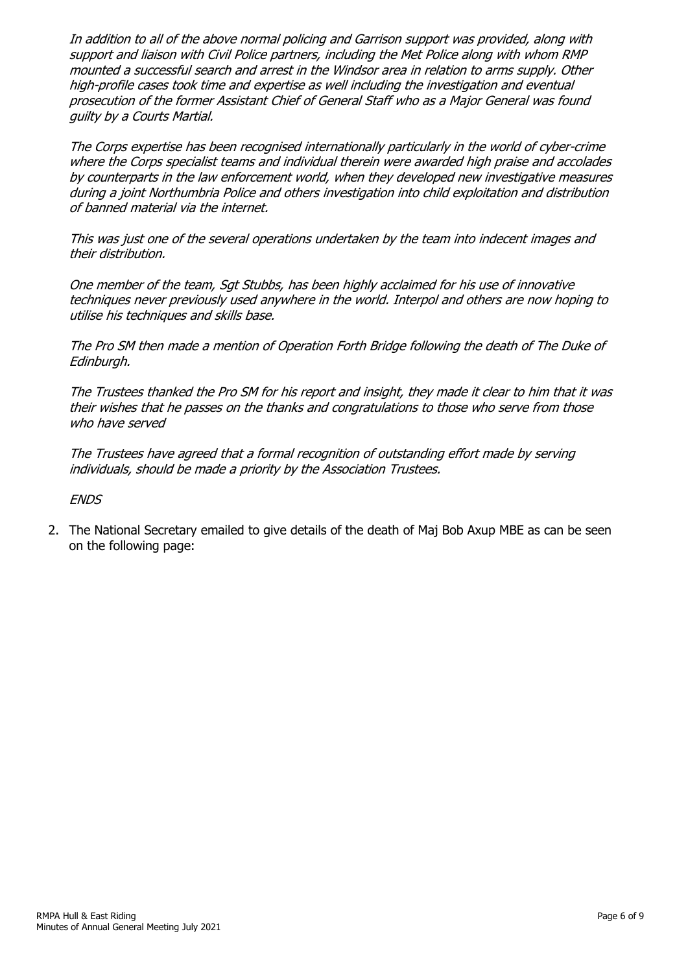In addition to all of the above normal policing and Garrison support was provided, along with support and liaison with Civil Police partners, including the Met Police along with whom RMP mounted a successful search and arrest in the Windsor area in relation to arms supply. Other high-profile cases took time and expertise as well including the investigation and eventual prosecution of the former Assistant Chief of General Staff who as a Major General was found guilty by a Courts Martial.

The Corps expertise has been recognised internationally particularly in the world of cyber-crime where the Corps specialist teams and individual therein were awarded high praise and accolades by counterparts in the law enforcement world, when they developed new investigative measures during a joint Northumbria Police and others investigation into child exploitation and distribution of banned material via the internet.

This was just one of the several operations undertaken by the team into indecent images and their distribution.

One member of the team, Sgt Stubbs, has been highly acclaimed for his use of innovative techniques never previously used anywhere in the world. Interpol and others are now hoping to utilise his techniques and skills base.

The Pro SM then made a mention of Operation Forth Bridge following the death of The Duke of Edinburgh.

The Trustees thanked the Pro SM for his report and insight, they made it clear to him that it was their wishes that he passes on the thanks and congratulations to those who serve from those who have served

The Trustees have agreed that a formal recognition of outstanding effort made by serving individuals, should be made a priority by the Association Trustees.

**ENDS** 

2. The National Secretary emailed to give details of the death of Maj Bob Axup MBE as can be seen on the following page: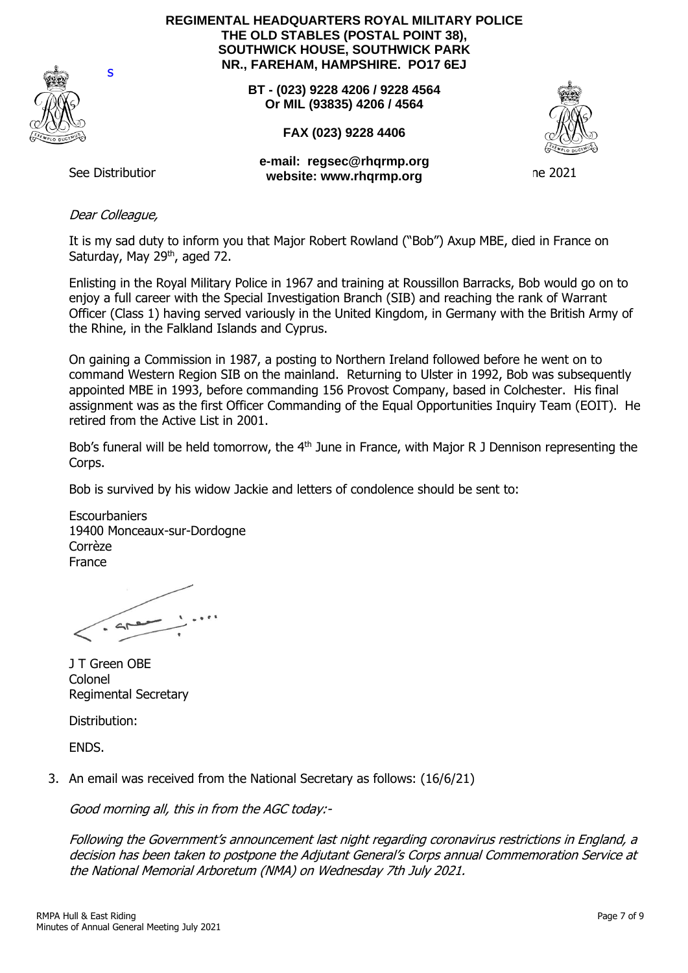

**REGIMENTAL HEADQUARTERS ROYAL MILITARY POLICE THE OLD STABLES (POSTAL POINT 38), SOUTHWICK HOUSE, SOUTHWICK PARK NR., FAREHAM, HAMPSHIRE. PO17 6EJ**

> **BT - (023) 9228 4206 / 9228 4564 Or MIL (93835) 4206 / 4564**

> > **FAX (023) 9228 4406**



See Distribution 3 **website: www.rhqrmp.orge-mail: regsec@rhqrmp.org**

ne 2021

s

## Dear Colleague,

It is my sad duty to inform you that Major Robert Rowland ("Bob") Axup MBE, died in France on Saturday, May 29<sup>th</sup>, aged 72.

Enlisting in the Royal Military Police in 1967 and training at Roussillon Barracks, Bob would go on to enjoy a full career with the Special Investigation Branch (SIB) and reaching the rank of Warrant Officer (Class 1) having served variously in the United Kingdom, in Germany with the British Army of the Rhine, in the Falkland Islands and Cyprus.

On gaining a Commission in 1987, a posting to Northern Ireland followed before he went on to command Western Region SIB on the mainland. Returning to Ulster in 1992, Bob was subsequently appointed MBE in 1993, before commanding 156 Provost Company, based in Colchester. His final assignment was as the first Officer Commanding of the Equal Opportunities Inquiry Team (EOIT). He retired from the Active List in 2001.

Bob's funeral will be held tomorrow, the 4<sup>th</sup> June in France, with Major R J Dennison representing the Corps.

Bob is survived by his widow Jackie and letters of condolence should be sent to:

**Escourbaniers** 19400 Monceaux-sur-Dordogne Corrèze France

J T Green OBE Colonel Regimental Secretary

Distribution:

ENDS.

3. An email was received from the National Secretary as follows: (16/6/21)

Good morning all, this in from the AGC today:-

Following the Government's announcement last night regarding coronavirus restrictions in England, a decision has been taken to postpone the Adjutant General's Corps annual Commemoration Service at the National Memorial Arboretum (NMA) on Wednesday 7th July 2021.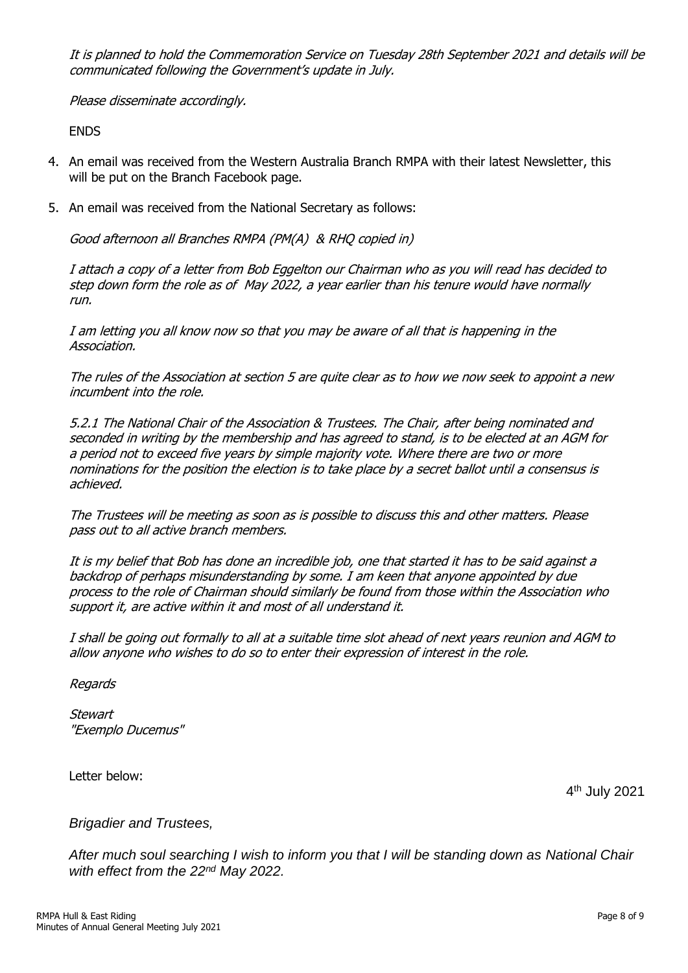It is planned to hold the Commemoration Service on Tuesday 28th September 2021 and details will be communicated following the Government's update in July.

Please disseminate accordingly.

ENDS

- 4. An email was received from the Western Australia Branch RMPA with their latest Newsletter, this will be put on the Branch Facebook page.
- 5. An email was received from the National Secretary as follows:

Good afternoon all Branches RMPA (PM(A) & RHQ copied in)

I attach a copy of a letter from Bob Eggelton our Chairman who as you will read has decided to step down form the role as of May 2022, a year earlier than his tenure would have normally run.

I am letting you all know now so that you may be aware of all that is happening in the Association.

The rules of the Association at section 5 are quite clear as to how we now seek to appoint a new incumbent into the role.

5.2.1 The National Chair of the Association & Trustees. The Chair, after being nominated and seconded in writing by the membership and has agreed to stand, is to be elected at an AGM for a period not to exceed five years by simple majority vote. Where there are two or more nominations for the position the election is to take place by a secret ballot until a consensus is achieved.

The Trustees will be meeting as soon as is possible to discuss this and other matters. Please pass out to all active branch members.

It is my belief that Bob has done an incredible job, one that started it has to be said against a backdrop of perhaps misunderstanding by some. I am keen that anyone appointed by due process to the role of Chairman should similarly be found from those within the Association who support it, are active within it and most of all understand it.

I shall be going out formally to all at a suitable time slot ahead of next years reunion and AGM to allow anyone who wishes to do so to enter their expression of interest in the role.

Regards

**Stewart** "Exemplo Ducemus"

Letter below:

4 th July 2021

*Brigadier and Trustees,*

*After much soul searching I wish to inform you that I will be standing down as National Chair with effect from the 22nd May 2022.*